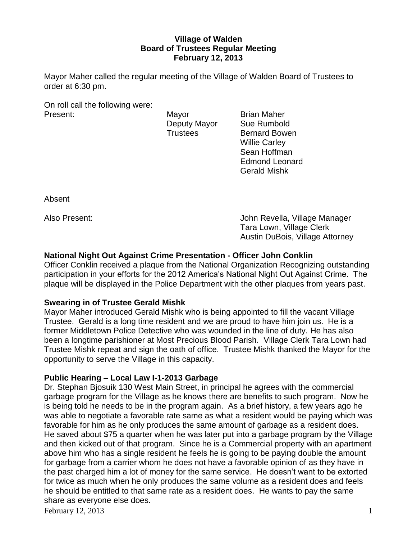# **Village of Walden Board of Trustees Regular Meeting February 12, 2013**

Mayor Maher called the regular meeting of the Village of Walden Board of Trustees to order at 6:30 pm.

On roll call the following were: Present: Mayor Brian Maher

Deputy Mayor Sue Rumbold Trustees Bernard Bowen Willie Carley Sean Hoffman Edmond Leonard Gerald Mishk

Absent

Also Present: John Revella, Village Manager Tara Lown, Village Clerk Austin DuBois, Village Attorney

# **National Night Out Against Crime Presentation - Officer John Conklin**

Officer Conklin received a plaque from the National Organization Recognizing outstanding participation in your efforts for the 2012 America's National Night Out Against Crime. The plaque will be displayed in the Police Department with the other plaques from years past.

# **Swearing in of Trustee Gerald Mishk**

Mayor Maher introduced Gerald Mishk who is being appointed to fill the vacant Village Trustee. Gerald is a long time resident and we are proud to have him join us. He is a former Middletown Police Detective who was wounded in the line of duty. He has also been a longtime parishioner at Most Precious Blood Parish. Village Clerk Tara Lown had Trustee Mishk repeat and sign the oath of office. Trustee Mishk thanked the Mayor for the opportunity to serve the Village in this capacity.

# **Public Hearing – Local Law I-1-2013 Garbage**

Dr. Stephan Bjosuik 130 West Main Street, in principal he agrees with the commercial garbage program for the Village as he knows there are benefits to such program. Now he is being told he needs to be in the program again. As a brief history, a few years ago he was able to negotiate a favorable rate same as what a resident would be paying which was favorable for him as he only produces the same amount of garbage as a resident does. He saved about \$75 a quarter when he was later put into a garbage program by the Village and then kicked out of that program. Since he is a Commercial property with an apartment above him who has a single resident he feels he is going to be paying double the amount for garbage from a carrier whom he does not have a favorable opinion of as they have in the past charged him a lot of money for the same service. He doesn't want to be extorted for twice as much when he only produces the same volume as a resident does and feels he should be entitled to that same rate as a resident does. He wants to pay the same share as everyone else does.

February 12, 2013  $\frac{1}{2}$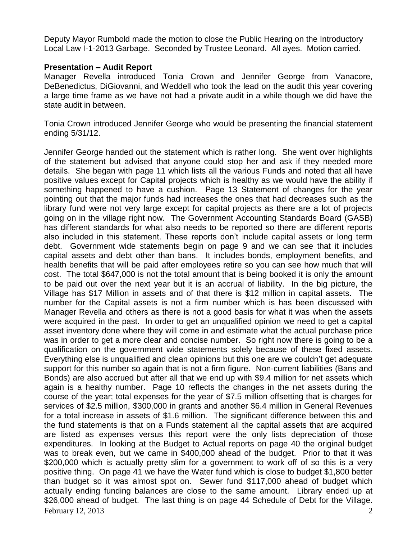Deputy Mayor Rumbold made the motion to close the Public Hearing on the Introductory Local Law I-1-2013 Garbage. Seconded by Trustee Leonard. All ayes. Motion carried.

### **Presentation – Audit Report**

Manager Revella introduced Tonia Crown and Jennifer George from Vanacore, DeBenedictus, DiGiovanni, and Weddell who took the lead on the audit this year covering a large time frame as we have not had a private audit in a while though we did have the state audit in between.

Tonia Crown introduced Jennifer George who would be presenting the financial statement ending 5/31/12.

February 12, 2013  $\overline{a}$  2 Jennifer George handed out the statement which is rather long. She went over highlights of the statement but advised that anyone could stop her and ask if they needed more details. She began with page 11 which lists all the various Funds and noted that all have positive values except for Capital projects which is healthy as we would have the ability if something happened to have a cushion. Page 13 Statement of changes for the year pointing out that the major funds had increases the ones that had decreases such as the library fund were not very large except for capital projects as there are a lot of projects going on in the village right now. The Government Accounting Standards Board (GASB) has different standards for what also needs to be reported so there are different reports also included in this statement. These reports don't include capital assets or long term debt. Government wide statements begin on page 9 and we can see that it includes capital assets and debt other than bans. It includes bonds, employment benefits, and health benefits that will be paid after employees retire so you can see how much that will cost. The total \$647,000 is not the total amount that is being booked it is only the amount to be paid out over the next year but it is an accrual of liability. In the big picture, the Village has \$17 Million in assets and of that there is \$12 million in capital assets. The number for the Capital assets is not a firm number which is has been discussed with Manager Revella and others as there is not a good basis for what it was when the assets were acquired in the past. In order to get an unqualified opinion we need to get a capital asset inventory done where they will come in and estimate what the actual purchase price was in order to get a more clear and concise number. So right now there is going to be a qualification on the government wide statements solely because of these fixed assets. Everything else is unqualified and clean opinions but this one are we couldn't get adequate support for this number so again that is not a firm figure. Non-current liabilities (Bans and Bonds) are also accrued but after all that we end up with \$9.4 million for net assets which again is a healthy number. Page 10 reflects the changes in the net assets during the course of the year; total expenses for the year of \$7.5 million offsetting that is charges for services of \$2.5 million, \$300,000 in grants and another \$6.4 million in General Revenues for a total increase in assets of \$1.6 million. The significant difference between this and the fund statements is that on a Funds statement all the capital assets that are acquired are listed as expenses versus this report were the only lists depreciation of those expenditures. In looking at the Budget to Actual reports on page 40 the original budget was to break even, but we came in \$400,000 ahead of the budget. Prior to that it was \$200,000 which is actually pretty slim for a government to work off of so this is a very positive thing. On page 41 we have the Water fund which is close to budget \$1,800 better than budget so it was almost spot on. Sewer fund \$117,000 ahead of budget which actually ending funding balances are close to the same amount. Library ended up at \$26,000 ahead of budget. The last thing is on page 44 Schedule of Debt for the Village.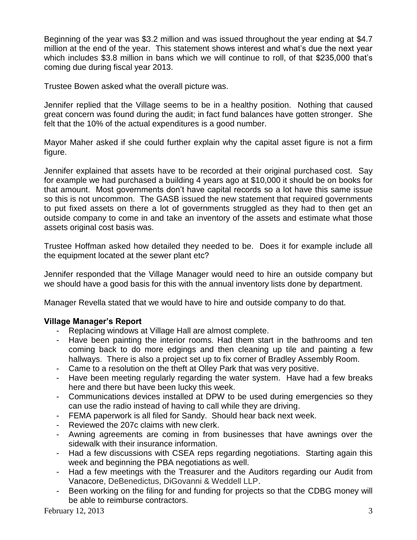Beginning of the year was \$3.2 million and was issued throughout the year ending at \$4.7 million at the end of the year. This statement shows interest and what's due the next year which includes \$3.8 million in bans which we will continue to roll, of that \$235,000 that's coming due during fiscal year 2013.

Trustee Bowen asked what the overall picture was.

Jennifer replied that the Village seems to be in a healthy position. Nothing that caused great concern was found during the audit; in fact fund balances have gotten stronger. She felt that the 10% of the actual expenditures is a good number.

Mayor Maher asked if she could further explain why the capital asset figure is not a firm figure.

Jennifer explained that assets have to be recorded at their original purchased cost. Say for example we had purchased a building 4 years ago at \$10,000 it should be on books for that amount. Most governments don't have capital records so a lot have this same issue so this is not uncommon. The GASB issued the new statement that required governments to put fixed assets on there a lot of governments struggled as they had to then get an outside company to come in and take an inventory of the assets and estimate what those assets original cost basis was.

Trustee Hoffman asked how detailed they needed to be. Does it for example include all the equipment located at the sewer plant etc?

Jennifer responded that the Village Manager would need to hire an outside company but we should have a good basis for this with the annual inventory lists done by department.

Manager Revella stated that we would have to hire and outside company to do that.

# **Village Manager's Report**

- Replacing windows at Village Hall are almost complete.
- Have been painting the interior rooms. Had them start in the bathrooms and ten coming back to do more edgings and then cleaning up tile and painting a few hallways. There is also a project set up to fix corner of Bradley Assembly Room.
- Came to a resolution on the theft at Olley Park that was very positive.
- Have been meeting regularly regarding the water system. Have had a few breaks here and there but have been lucky this week.
- Communications devices installed at DPW to be used during emergencies so they can use the radio instead of having to call while they are driving.
- FEMA paperwork is all filed for Sandy. Should hear back next week.
- Reviewed the 207c claims with new clerk.
- Awning agreements are coming in from businesses that have awnings over the sidewalk with their insurance information.
- Had a few discussions with CSEA reps regarding negotiations. Starting again this week and beginning the PBA negotiations as well.
- Had a few meetings with the Treasurer and the Auditors regarding our Audit from Vanacore, DeBenedictus, DiGovanni & Weddell LLP.
- Been working on the filing for and funding for projects so that the CDBG money will be able to reimburse contractors.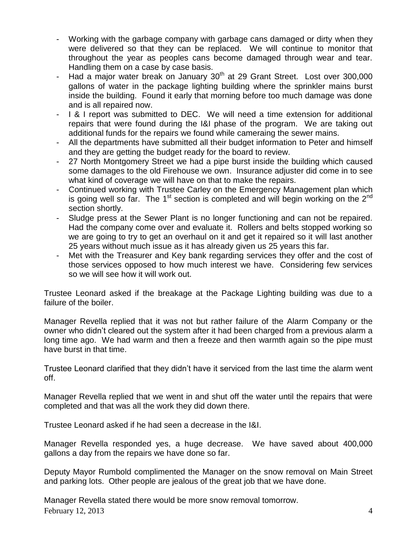- Working with the garbage company with garbage cans damaged or dirty when they were delivered so that they can be replaced. We will continue to monitor that throughout the year as peoples cans become damaged through wear and tear. Handling them on a case by case basis.
- Had a major water break on January 30<sup>th</sup> at 29 Grant Street. Lost over 300,000 gallons of water in the package lighting building where the sprinkler mains burst inside the building. Found it early that morning before too much damage was done and is all repaired now.
- I & I report was submitted to DEC. We will need a time extension for additional repairs that were found during the I&I phase of the program. We are taking out additional funds for the repairs we found while cameraing the sewer mains.
- All the departments have submitted all their budget information to Peter and himself and they are getting the budget ready for the board to review.
- 27 North Montgomery Street we had a pipe burst inside the building which caused some damages to the old Firehouse we own. Insurance adjuster did come in to see what kind of coverage we will have on that to make the repairs.
- Continued working with Trustee Carley on the Emergency Management plan which is going well so far. The 1<sup>st</sup> section is completed and will begin working on the 2<sup>nd</sup> section shortly.
- Sludge press at the Sewer Plant is no longer functioning and can not be repaired. Had the company come over and evaluate it. Rollers and belts stopped working so we are going to try to get an overhaul on it and get it repaired so it will last another 25 years without much issue as it has already given us 25 years this far.
- Met with the Treasurer and Key bank regarding services they offer and the cost of those services opposed to how much interest we have. Considering few services so we will see how it will work out.

Trustee Leonard asked if the breakage at the Package Lighting building was due to a failure of the boiler.

Manager Revella replied that it was not but rather failure of the Alarm Company or the owner who didn't cleared out the system after it had been charged from a previous alarm a long time ago. We had warm and then a freeze and then warmth again so the pipe must have burst in that time.

Trustee Leonard clarified that they didn't have it serviced from the last time the alarm went off.

Manager Revella replied that we went in and shut off the water until the repairs that were completed and that was all the work they did down there.

Trustee Leonard asked if he had seen a decrease in the I&I.

Manager Revella responded yes, a huge decrease. We have saved about 400,000 gallons a day from the repairs we have done so far.

Deputy Mayor Rumbold complimented the Manager on the snow removal on Main Street and parking lots. Other people are jealous of the great job that we have done.

February 12, 2013  $\sim$ Manager Revella stated there would be more snow removal tomorrow.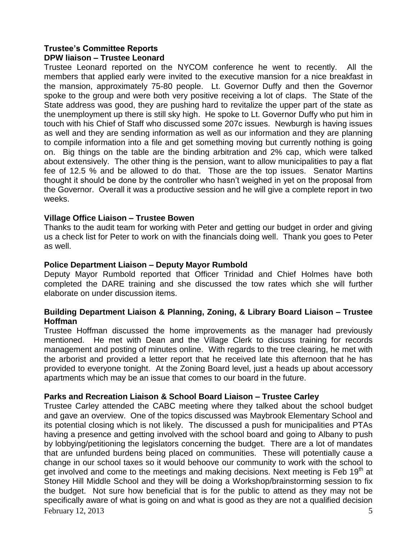# **Trustee's Committee Reports DPW liaison – Trustee Leonard**

Trustee Leonard reported on the NYCOM conference he went to recently. All the members that applied early were invited to the executive mansion for a nice breakfast in the mansion, approximately 75-80 people. Lt. Governor Duffy and then the Governor spoke to the group and were both very positive receiving a lot of claps. The State of the State address was good, they are pushing hard to revitalize the upper part of the state as the unemployment up there is still sky high. He spoke to Lt. Governor Duffy who put him in touch with his Chief of Staff who discussed some 207c issues. Newburgh is having issues as well and they are sending information as well as our information and they are planning to compile information into a file and get something moving but currently nothing is going on. Big things on the table are the binding arbitration and 2% cap, which were talked about extensively. The other thing is the pension, want to allow municipalities to pay a flat fee of 12.5 % and be allowed to do that. Those are the top issues. Senator Martins thought it should be done by the controller who hasn't weighed in yet on the proposal from the Governor. Overall it was a productive session and he will give a complete report in two weeks.

# **Village Office Liaison – Trustee Bowen**

Thanks to the audit team for working with Peter and getting our budget in order and giving us a check list for Peter to work on with the financials doing well. Thank you goes to Peter as well.

# **Police Department Liaison – Deputy Mayor Rumbold**

Deputy Mayor Rumbold reported that Officer Trinidad and Chief Holmes have both completed the DARE training and she discussed the tow rates which she will further elaborate on under discussion items.

# **Building Department Liaison & Planning, Zoning, & Library Board Liaison – Trustee Hoffman**

Trustee Hoffman discussed the home improvements as the manager had previously mentioned. He met with Dean and the Village Clerk to discuss training for records management and posting of minutes online. With regards to the tree clearing, he met with the arborist and provided a letter report that he received late this afternoon that he has provided to everyone tonight. At the Zoning Board level, just a heads up about accessory apartments which may be an issue that comes to our board in the future.

# **Parks and Recreation Liaison & School Board Liaison – Trustee Carley**

February 12, 2013  $\overline{5}$ Trustee Carley attended the CABC meeting where they talked about the school budget and gave an overview. One of the topics discussed was Maybrook Elementary School and its potential closing which is not likely. The discussed a push for municipalities and PTAs having a presence and getting involved with the school board and going to Albany to push by lobbying/petitioning the legislators concerning the budget. There are a lot of mandates that are unfunded burdens being placed on communities. These will potentially cause a change in our school taxes so it would behoove our community to work with the school to get involved and come to the meetings and making decisions. Next meeting is Feb 19<sup>th</sup> at Stoney Hill Middle School and they will be doing a Workshop/brainstorming session to fix the budget. Not sure how beneficial that is for the public to attend as they may not be specifically aware of what is going on and what is good as they are not a qualified decision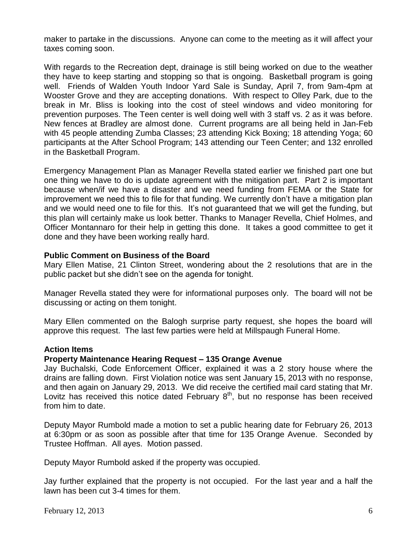maker to partake in the discussions. Anyone can come to the meeting as it will affect your taxes coming soon.

With regards to the Recreation dept, drainage is still being worked on due to the weather they have to keep starting and stopping so that is ongoing. Basketball program is going well. Friends of Walden Youth Indoor Yard Sale is Sunday, April 7, from 9am-4pm at Wooster Grove and they are accepting donations. With respect to Olley Park, due to the break in Mr. Bliss is looking into the cost of steel windows and video monitoring for prevention purposes. The Teen center is well doing well with 3 staff vs. 2 as it was before. New fences at Bradley are almost done. Current programs are all being held in Jan-Feb with 45 people attending Zumba Classes; 23 attending Kick Boxing; 18 attending Yoga; 60 participants at the After School Program; 143 attending our Teen Center; and 132 enrolled in the Basketball Program.

Emergency Management Plan as Manager Revella stated earlier we finished part one but one thing we have to do is update agreement with the mitigation part. Part 2 is important because when/if we have a disaster and we need funding from FEMA or the State for improvement we need this to file for that funding. We currently don't have a mitigation plan and we would need one to file for this. It's not guaranteed that we will get the funding, but this plan will certainly make us look better. Thanks to Manager Revella, Chief Holmes, and Officer Montannaro for their help in getting this done. It takes a good committee to get it done and they have been working really hard.

# **Public Comment on Business of the Board**

Mary Ellen Matise, 21 Clinton Street, wondering about the 2 resolutions that are in the public packet but she didn't see on the agenda for tonight.

Manager Revella stated they were for informational purposes only. The board will not be discussing or acting on them tonight.

Mary Ellen commented on the Balogh surprise party request, she hopes the board will approve this request. The last few parties were held at Millspaugh Funeral Home.

### **Action Items**

### **Property Maintenance Hearing Request – 135 Orange Avenue**

Jay Buchalski, Code Enforcement Officer, explained it was a 2 story house where the drains are falling down. First Violation notice was sent January 15, 2013 with no response, and then again on January 29, 2013. We did receive the certified mail card stating that Mr. Lovitz has received this notice dated February  $8<sup>th</sup>$ , but no response has been received from him to date.

Deputy Mayor Rumbold made a motion to set a public hearing date for February 26, 2013 at 6:30pm or as soon as possible after that time for 135 Orange Avenue. Seconded by Trustee Hoffman. All ayes. Motion passed.

Deputy Mayor Rumbold asked if the property was occupied.

Jay further explained that the property is not occupied. For the last year and a half the lawn has been cut 3-4 times for them.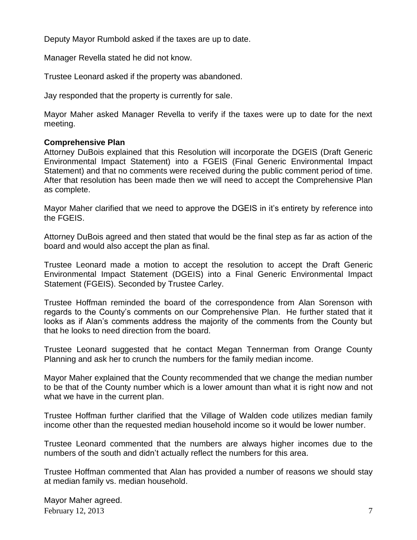Deputy Mayor Rumbold asked if the taxes are up to date.

Manager Revella stated he did not know.

Trustee Leonard asked if the property was abandoned.

Jay responded that the property is currently for sale.

Mayor Maher asked Manager Revella to verify if the taxes were up to date for the next meeting.

### **Comprehensive Plan**

Attorney DuBois explained that this Resolution will incorporate the DGEIS (Draft Generic Environmental Impact Statement) into a FGEIS (Final Generic Environmental Impact Statement) and that no comments were received during the public comment period of time. After that resolution has been made then we will need to accept the Comprehensive Plan as complete.

Mayor Maher clarified that we need to approve the DGEIS in it's entirety by reference into the FGEIS.

Attorney DuBois agreed and then stated that would be the final step as far as action of the board and would also accept the plan as final.

Trustee Leonard made a motion to accept the resolution to accept the Draft Generic Environmental Impact Statement (DGEIS) into a Final Generic Environmental Impact Statement (FGEIS). Seconded by Trustee Carley.

Trustee Hoffman reminded the board of the correspondence from Alan Sorenson with regards to the County's comments on our Comprehensive Plan. He further stated that it looks as if Alan's comments address the majority of the comments from the County but that he looks to need direction from the board.

Trustee Leonard suggested that he contact Megan Tennerman from Orange County Planning and ask her to crunch the numbers for the family median income.

Mayor Maher explained that the County recommended that we change the median number to be that of the County number which is a lower amount than what it is right now and not what we have in the current plan.

Trustee Hoffman further clarified that the Village of Walden code utilizes median family income other than the requested median household income so it would be lower number.

Trustee Leonard commented that the numbers are always higher incomes due to the numbers of the south and didn't actually reflect the numbers for this area.

Trustee Hoffman commented that Alan has provided a number of reasons we should stay at median family vs. median household.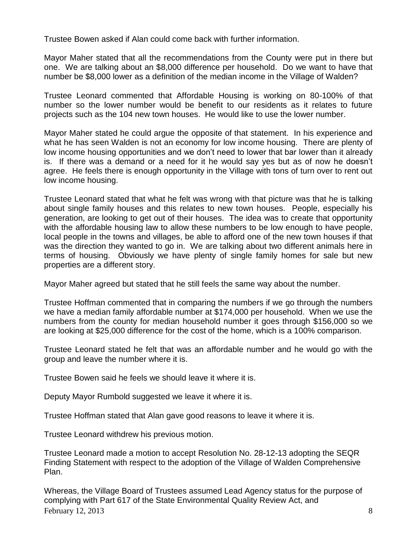Trustee Bowen asked if Alan could come back with further information.

Mayor Maher stated that all the recommendations from the County were put in there but one. We are talking about an \$8,000 difference per household. Do we want to have that number be \$8,000 lower as a definition of the median income in the Village of Walden?

Trustee Leonard commented that Affordable Housing is working on 80-100% of that number so the lower number would be benefit to our residents as it relates to future projects such as the 104 new town houses. He would like to use the lower number.

Mayor Maher stated he could argue the opposite of that statement. In his experience and what he has seen Walden is not an economy for low income housing. There are plenty of low income housing opportunities and we don't need to lower that bar lower than it already is. If there was a demand or a need for it he would say yes but as of now he doesn't agree. He feels there is enough opportunity in the Village with tons of turn over to rent out low income housing.

Trustee Leonard stated that what he felt was wrong with that picture was that he is talking about single family houses and this relates to new town houses. People, especially his generation, are looking to get out of their houses. The idea was to create that opportunity with the affordable housing law to allow these numbers to be low enough to have people, local people in the towns and villages, be able to afford one of the new town houses if that was the direction they wanted to go in. We are talking about two different animals here in terms of housing. Obviously we have plenty of single family homes for sale but new properties are a different story.

Mayor Maher agreed but stated that he still feels the same way about the number.

Trustee Hoffman commented that in comparing the numbers if we go through the numbers we have a median family affordable number at \$174,000 per household. When we use the numbers from the county for median household number it goes through \$156,000 so we are looking at \$25,000 difference for the cost of the home, which is a 100% comparison.

Trustee Leonard stated he felt that was an affordable number and he would go with the group and leave the number where it is.

Trustee Bowen said he feels we should leave it where it is.

Deputy Mayor Rumbold suggested we leave it where it is.

Trustee Hoffman stated that Alan gave good reasons to leave it where it is.

Trustee Leonard withdrew his previous motion.

Trustee Leonard made a motion to accept Resolution No. 28-12-13 adopting the SEQR Finding Statement with respect to the adoption of the Village of Walden Comprehensive Plan.

February 12, 2013  $\overline{\phantom{a}}$  8 Whereas, the Village Board of Trustees assumed Lead Agency status for the purpose of complying with Part 617 of the State Environmental Quality Review Act, and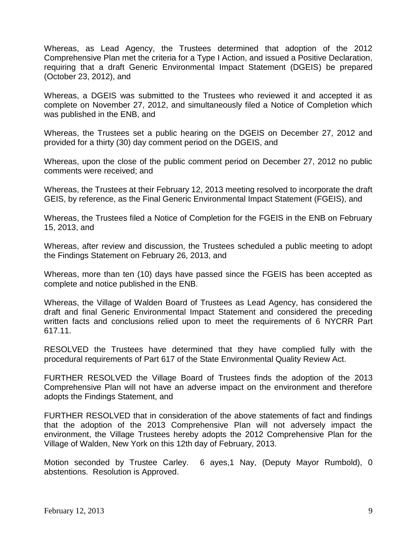Whereas, as Lead Agency, the Trustees determined that adoption of the 2012 Comprehensive Plan met the criteria for a Type I Action, and issued a Positive Declaration, requiring that a draft Generic Environmental Impact Statement (DGEIS) be prepared (October 23, 2012), and

Whereas, a DGEIS was submitted to the Trustees who reviewed it and accepted it as complete on November 27, 2012, and simultaneously filed a Notice of Completion which was published in the ENB, and

Whereas, the Trustees set a public hearing on the DGEIS on December 27, 2012 and provided for a thirty (30) day comment period on the DGEIS, and

Whereas, upon the close of the public comment period on December 27, 2012 no public comments were received; and

Whereas, the Trustees at their February 12, 2013 meeting resolved to incorporate the draft GEIS, by reference, as the Final Generic Environmental Impact Statement (FGEIS), and

Whereas, the Trustees filed a Notice of Completion for the FGEIS in the ENB on February 15, 2013, and

Whereas, after review and discussion, the Trustees scheduled a public meeting to adopt the Findings Statement on February 26, 2013, and

Whereas, more than ten (10) days have passed since the FGEIS has been accepted as complete and notice published in the ENB.

Whereas, the Village of Walden Board of Trustees as Lead Agency, has considered the draft and final Generic Environmental Impact Statement and considered the preceding written facts and conclusions relied upon to meet the requirements of 6 NYCRR Part 617.11.

RESOLVED the Trustees have determined that they have complied fully with the procedural requirements of Part 617 of the State Environmental Quality Review Act.

FURTHER RESOLVED the Village Board of Trustees finds the adoption of the 2013 Comprehensive Plan will not have an adverse impact on the environment and therefore adopts the Findings Statement, and

FURTHER RESOLVED that in consideration of the above statements of fact and findings that the adoption of the 2013 Comprehensive Plan will not adversely impact the environment, the Village Trustees hereby adopts the 2012 Comprehensive Plan for the Village of Walden, New York on this 12th day of February, 2013.

Motion seconded by Trustee Carley. 6 ayes,1 Nay, (Deputy Mayor Rumbold), 0 abstentions. Resolution is Approved.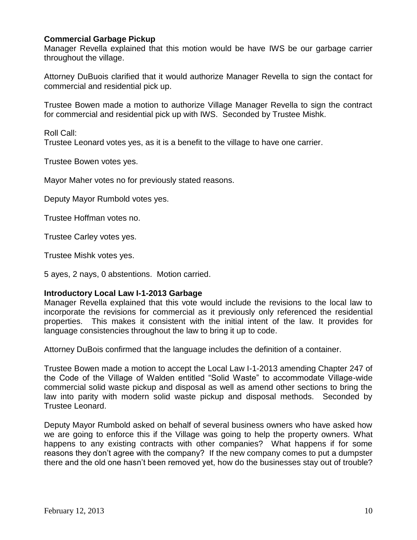# **Commercial Garbage Pickup**

Manager Revella explained that this motion would be have IWS be our garbage carrier throughout the village.

Attorney DuBuois clarified that it would authorize Manager Revella to sign the contact for commercial and residential pick up.

Trustee Bowen made a motion to authorize Village Manager Revella to sign the contract for commercial and residential pick up with IWS. Seconded by Trustee Mishk.

Roll Call: Trustee Leonard votes yes, as it is a benefit to the village to have one carrier.

Trustee Bowen votes yes.

Mayor Maher votes no for previously stated reasons.

Deputy Mayor Rumbold votes yes.

Trustee Hoffman votes no.

Trustee Carley votes yes.

Trustee Mishk votes yes.

5 ayes, 2 nays, 0 abstentions. Motion carried.

### **Introductory Local Law I-1-2013 Garbage**

Manager Revella explained that this vote would include the revisions to the local law to incorporate the revisions for commercial as it previously only referenced the residential properties. This makes it consistent with the initial intent of the law. It provides for language consistencies throughout the law to bring it up to code.

Attorney DuBois confirmed that the language includes the definition of a container.

Trustee Bowen made a motion to accept the Local Law I-1-2013 amending Chapter 247 of the Code of the Village of Walden entitled "Solid Waste" to accommodate Village-wide commercial solid waste pickup and disposal as well as amend other sections to bring the law into parity with modern solid waste pickup and disposal methods. Seconded by Trustee Leonard.

Deputy Mayor Rumbold asked on behalf of several business owners who have asked how we are going to enforce this if the Village was going to help the property owners. What happens to any existing contracts with other companies? What happens if for some reasons they don't agree with the company? If the new company comes to put a dumpster there and the old one hasn't been removed yet, how do the businesses stay out of trouble?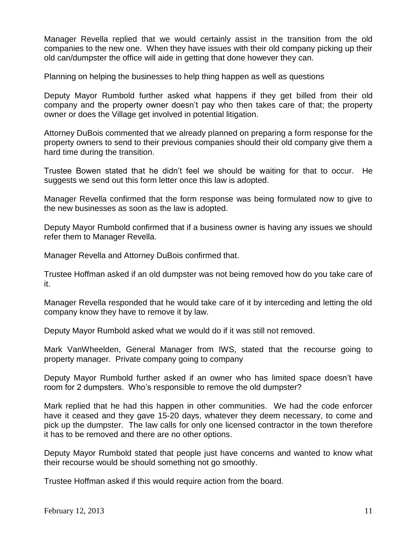Manager Revella replied that we would certainly assist in the transition from the old companies to the new one. When they have issues with their old company picking up their old can/dumpster the office will aide in getting that done however they can.

Planning on helping the businesses to help thing happen as well as questions

Deputy Mayor Rumbold further asked what happens if they get billed from their old company and the property owner doesn't pay who then takes care of that; the property owner or does the Village get involved in potential litigation.

Attorney DuBois commented that we already planned on preparing a form response for the property owners to send to their previous companies should their old company give them a hard time during the transition.

Trustee Bowen stated that he didn't feel we should be waiting for that to occur. He suggests we send out this form letter once this law is adopted.

Manager Revella confirmed that the form response was being formulated now to give to the new businesses as soon as the law is adopted.

Deputy Mayor Rumbold confirmed that if a business owner is having any issues we should refer them to Manager Revella.

Manager Revella and Attorney DuBois confirmed that.

Trustee Hoffman asked if an old dumpster was not being removed how do you take care of it.

Manager Revella responded that he would take care of it by interceding and letting the old company know they have to remove it by law.

Deputy Mayor Rumbold asked what we would do if it was still not removed.

Mark VanWheelden, General Manager from IWS, stated that the recourse going to property manager. Private company going to company

Deputy Mayor Rumbold further asked if an owner who has limited space doesn't have room for 2 dumpsters. Who's responsible to remove the old dumpster?

Mark replied that he had this happen in other communities. We had the code enforcer have it ceased and they gave 15-20 days, whatever they deem necessary, to come and pick up the dumpster. The law calls for only one licensed contractor in the town therefore it has to be removed and there are no other options.

Deputy Mayor Rumbold stated that people just have concerns and wanted to know what their recourse would be should something not go smoothly.

Trustee Hoffman asked if this would require action from the board.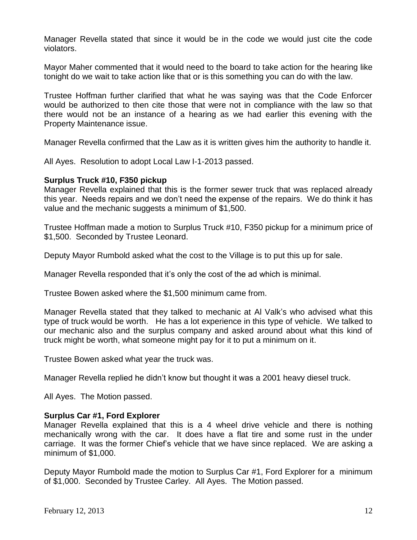Manager Revella stated that since it would be in the code we would just cite the code violators.

Mayor Maher commented that it would need to the board to take action for the hearing like tonight do we wait to take action like that or is this something you can do with the law.

Trustee Hoffman further clarified that what he was saying was that the Code Enforcer would be authorized to then cite those that were not in compliance with the law so that there would not be an instance of a hearing as we had earlier this evening with the Property Maintenance issue.

Manager Revella confirmed that the Law as it is written gives him the authority to handle it.

All Ayes. Resolution to adopt Local Law I-1-2013 passed.

### **Surplus Truck #10, F350 pickup**

Manager Revella explained that this is the former sewer truck that was replaced already this year. Needs repairs and we don't need the expense of the repairs. We do think it has value and the mechanic suggests a minimum of \$1,500.

Trustee Hoffman made a motion to Surplus Truck #10, F350 pickup for a minimum price of \$1,500. Seconded by Trustee Leonard.

Deputy Mayor Rumbold asked what the cost to the Village is to put this up for sale.

Manager Revella responded that it's only the cost of the ad which is minimal.

Trustee Bowen asked where the \$1,500 minimum came from.

Manager Revella stated that they talked to mechanic at Al Valk's who advised what this type of truck would be worth. He has a lot experience in this type of vehicle. We talked to our mechanic also and the surplus company and asked around about what this kind of truck might be worth, what someone might pay for it to put a minimum on it.

Trustee Bowen asked what year the truck was.

Manager Revella replied he didn't know but thought it was a 2001 heavy diesel truck.

All Ayes. The Motion passed.

# **Surplus Car #1, Ford Explorer**

Manager Revella explained that this is a 4 wheel drive vehicle and there is nothing mechanically wrong with the car. It does have a flat tire and some rust in the under carriage. It was the former Chief's vehicle that we have since replaced. We are asking a minimum of \$1,000.

Deputy Mayor Rumbold made the motion to Surplus Car #1, Ford Explorer for a minimum of \$1,000. Seconded by Trustee Carley. All Ayes. The Motion passed.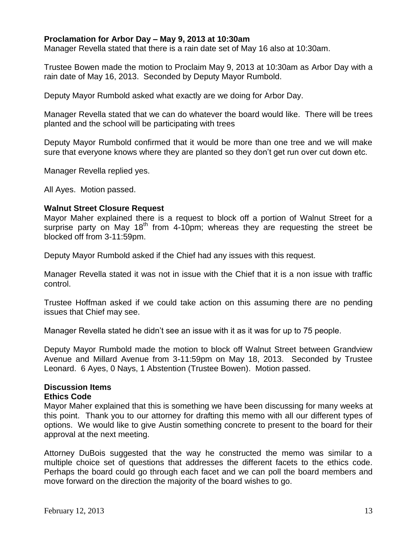## **Proclamation for Arbor Day – May 9, 2013 at 10:30am**

Manager Revella stated that there is a rain date set of May 16 also at 10:30am.

Trustee Bowen made the motion to Proclaim May 9, 2013 at 10:30am as Arbor Day with a rain date of May 16, 2013. Seconded by Deputy Mayor Rumbold.

Deputy Mayor Rumbold asked what exactly are we doing for Arbor Day.

Manager Revella stated that we can do whatever the board would like. There will be trees planted and the school will be participating with trees

Deputy Mayor Rumbold confirmed that it would be more than one tree and we will make sure that everyone knows where they are planted so they don't get run over cut down etc.

Manager Revella replied yes.

All Ayes. Motion passed.

#### **Walnut Street Closure Request**

Mayor Maher explained there is a request to block off a portion of Walnut Street for a surprise party on May  $18<sup>th</sup>$  from 4-10pm; whereas they are requesting the street be blocked off from 3-11:59pm.

Deputy Mayor Rumbold asked if the Chief had any issues with this request.

Manager Revella stated it was not in issue with the Chief that it is a non issue with traffic control.

Trustee Hoffman asked if we could take action on this assuming there are no pending issues that Chief may see.

Manager Revella stated he didn't see an issue with it as it was for up to 75 people.

Deputy Mayor Rumbold made the motion to block off Walnut Street between Grandview Avenue and Millard Avenue from 3-11:59pm on May 18, 2013. Seconded by Trustee Leonard. 6 Ayes, 0 Nays, 1 Abstention (Trustee Bowen). Motion passed.

#### **Discussion Items Ethics Code**

Mayor Maher explained that this is something we have been discussing for many weeks at this point. Thank you to our attorney for drafting this memo with all our different types of options. We would like to give Austin something concrete to present to the board for their approval at the next meeting.

Attorney DuBois suggested that the way he constructed the memo was similar to a multiple choice set of questions that addresses the different facets to the ethics code. Perhaps the board could go through each facet and we can poll the board members and move forward on the direction the majority of the board wishes to go.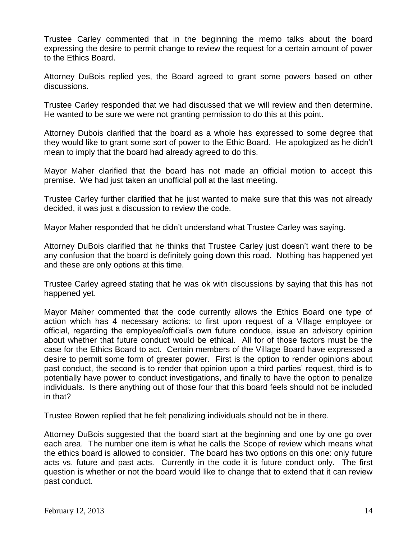Trustee Carley commented that in the beginning the memo talks about the board expressing the desire to permit change to review the request for a certain amount of power to the Ethics Board.

Attorney DuBois replied yes, the Board agreed to grant some powers based on other discussions.

Trustee Carley responded that we had discussed that we will review and then determine. He wanted to be sure we were not granting permission to do this at this point.

Attorney Dubois clarified that the board as a whole has expressed to some degree that they would like to grant some sort of power to the Ethic Board. He apologized as he didn't mean to imply that the board had already agreed to do this.

Mayor Maher clarified that the board has not made an official motion to accept this premise. We had just taken an unofficial poll at the last meeting.

Trustee Carley further clarified that he just wanted to make sure that this was not already decided, it was just a discussion to review the code.

Mayor Maher responded that he didn't understand what Trustee Carley was saying.

Attorney DuBois clarified that he thinks that Trustee Carley just doesn't want there to be any confusion that the board is definitely going down this road. Nothing has happened yet and these are only options at this time.

Trustee Carley agreed stating that he was ok with discussions by saying that this has not happened yet.

Mayor Maher commented that the code currently allows the Ethics Board one type of action which has 4 necessary actions: to first upon request of a Village employee or official, regarding the employee/official's own future conduce, issue an advisory opinion about whether that future conduct would be ethical. All for of those factors must be the case for the Ethics Board to act. Certain members of the Village Board have expressed a desire to permit some form of greater power. First is the option to render opinions about past conduct, the second is to render that opinion upon a third parties' request, third is to potentially have power to conduct investigations, and finally to have the option to penalize individuals. Is there anything out of those four that this board feels should not be included in that?

Trustee Bowen replied that he felt penalizing individuals should not be in there.

Attorney DuBois suggested that the board start at the beginning and one by one go over each area. The number one item is what he calls the Scope of review which means what the ethics board is allowed to consider. The board has two options on this one: only future acts vs. future and past acts. Currently in the code it is future conduct only. The first question is whether or not the board would like to change that to extend that it can review past conduct.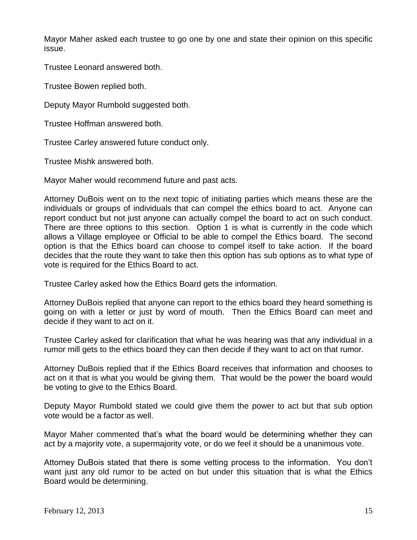Mayor Maher asked each trustee to go one by one and state their opinion on this specific issue.

Trustee Leonard answered both.

Trustee Bowen replied both.

Deputy Mayor Rumbold suggested both.

Trustee Hoffman answered both.

Trustee Carley answered future conduct only.

Trustee Mishk answered both.

Mayor Maher would recommend future and past acts.

Attorney DuBois went on to the next topic of initiating parties which means these are the individuals or groups of individuals that can compel the ethics board to act. Anyone can report conduct but not just anyone can actually compel the board to act on such conduct. There are three options to this section. Option 1 is what is currently in the code which allows a Village employee or Official to be able to compel the Ethics board. The second option is that the Ethics board can choose to compel itself to take action. If the board decides that the route they want to take then this option has sub options as to what type of vote is required for the Ethics Board to act.

Trustee Carley asked how the Ethics Board gets the information.

Attorney DuBois replied that anyone can report to the ethics board they heard something is going on with a letter or just by word of mouth. Then the Ethics Board can meet and decide if they want to act on it.

Trustee Carley asked for clarification that what he was hearing was that any individual in a rumor mill gets to the ethics board they can then decide if they want to act on that rumor.

Attorney DuBois replied that if the Ethics Board receives that information and chooses to act on it that is what you would be giving them. That would be the power the board would be voting to give to the Ethics Board.

Deputy Mayor Rumbold stated we could give them the power to act but that sub option vote would be a factor as well.

Mayor Maher commented that's what the board would be determining whether they can act by a majority vote, a supermajority vote, or do we feel it should be a unanimous vote.

Attorney DuBois stated that there is some vetting process to the information. You don't want just any old rumor to be acted on but under this situation that is what the Ethics Board would be determining.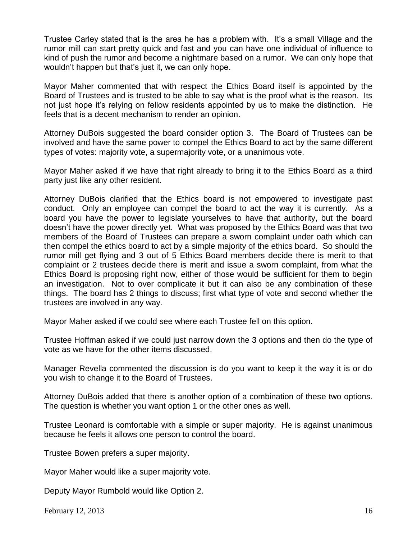Trustee Carley stated that is the area he has a problem with. It's a small Village and the rumor mill can start pretty quick and fast and you can have one individual of influence to kind of push the rumor and become a nightmare based on a rumor. We can only hope that wouldn't happen but that's just it, we can only hope.

Mayor Maher commented that with respect the Ethics Board itself is appointed by the Board of Trustees and is trusted to be able to say what is the proof what is the reason. Its not just hope it's relying on fellow residents appointed by us to make the distinction. He feels that is a decent mechanism to render an opinion.

Attorney DuBois suggested the board consider option 3. The Board of Trustees can be involved and have the same power to compel the Ethics Board to act by the same different types of votes: majority vote, a supermajority vote, or a unanimous vote.

Mayor Maher asked if we have that right already to bring it to the Ethics Board as a third party just like any other resident.

Attorney DuBois clarified that the Ethics board is not empowered to investigate past conduct. Only an employee can compel the board to act the way it is currently. As a board you have the power to legislate yourselves to have that authority, but the board doesn't have the power directly yet. What was proposed by the Ethics Board was that two members of the Board of Trustees can prepare a sworn complaint under oath which can then compel the ethics board to act by a simple majority of the ethics board. So should the rumor mill get flying and 3 out of 5 Ethics Board members decide there is merit to that complaint or 2 trustees decide there is merit and issue a sworn complaint, from what the Ethics Board is proposing right now, either of those would be sufficient for them to begin an investigation. Not to over complicate it but it can also be any combination of these things. The board has 2 things to discuss; first what type of vote and second whether the trustees are involved in any way.

Mayor Maher asked if we could see where each Trustee fell on this option.

Trustee Hoffman asked if we could just narrow down the 3 options and then do the type of vote as we have for the other items discussed.

Manager Revella commented the discussion is do you want to keep it the way it is or do you wish to change it to the Board of Trustees.

Attorney DuBois added that there is another option of a combination of these two options. The question is whether you want option 1 or the other ones as well.

Trustee Leonard is comfortable with a simple or super majority. He is against unanimous because he feels it allows one person to control the board.

Trustee Bowen prefers a super majority.

Mayor Maher would like a super majority vote.

Deputy Mayor Rumbold would like Option 2.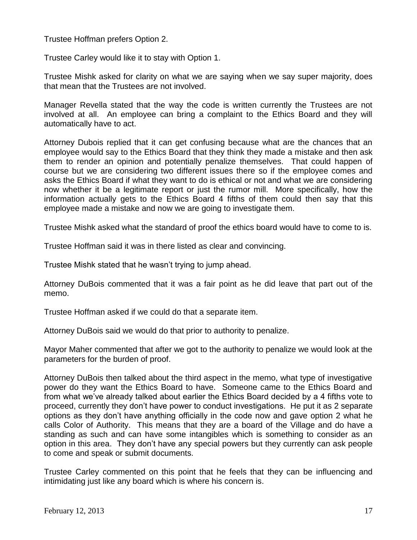Trustee Hoffman prefers Option 2.

Trustee Carley would like it to stay with Option 1.

Trustee Mishk asked for clarity on what we are saying when we say super majority, does that mean that the Trustees are not involved.

Manager Revella stated that the way the code is written currently the Trustees are not involved at all. An employee can bring a complaint to the Ethics Board and they will automatically have to act.

Attorney Dubois replied that it can get confusing because what are the chances that an employee would say to the Ethics Board that they think they made a mistake and then ask them to render an opinion and potentially penalize themselves. That could happen of course but we are considering two different issues there so if the employee comes and asks the Ethics Board if what they want to do is ethical or not and what we are considering now whether it be a legitimate report or just the rumor mill. More specifically, how the information actually gets to the Ethics Board 4 fifths of them could then say that this employee made a mistake and now we are going to investigate them.

Trustee Mishk asked what the standard of proof the ethics board would have to come to is.

Trustee Hoffman said it was in there listed as clear and convincing.

Trustee Mishk stated that he wasn't trying to jump ahead.

Attorney DuBois commented that it was a fair point as he did leave that part out of the memo.

Trustee Hoffman asked if we could do that a separate item.

Attorney DuBois said we would do that prior to authority to penalize.

Mayor Maher commented that after we got to the authority to penalize we would look at the parameters for the burden of proof.

Attorney DuBois then talked about the third aspect in the memo, what type of investigative power do they want the Ethics Board to have. Someone came to the Ethics Board and from what we've already talked about earlier the Ethics Board decided by a 4 fifths vote to proceed, currently they don't have power to conduct investigations. He put it as 2 separate options as they don't have anything officially in the code now and gave option 2 what he calls Color of Authority. This means that they are a board of the Village and do have a standing as such and can have some intangibles which is something to consider as an option in this area. They don't have any special powers but they currently can ask people to come and speak or submit documents.

Trustee Carley commented on this point that he feels that they can be influencing and intimidating just like any board which is where his concern is.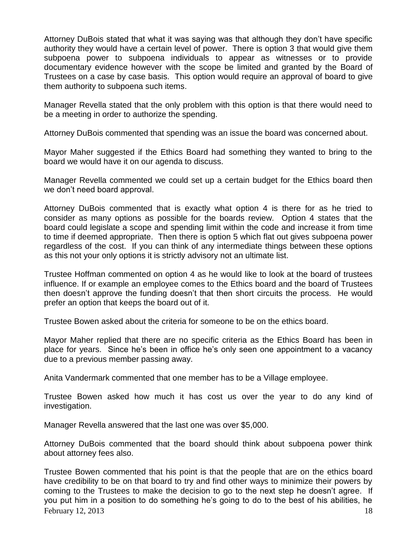Attorney DuBois stated that what it was saying was that although they don't have specific authority they would have a certain level of power. There is option 3 that would give them subpoena power to subpoena individuals to appear as witnesses or to provide documentary evidence however with the scope be limited and granted by the Board of Trustees on a case by case basis. This option would require an approval of board to give them authority to subpoena such items.

Manager Revella stated that the only problem with this option is that there would need to be a meeting in order to authorize the spending.

Attorney DuBois commented that spending was an issue the board was concerned about.

Mayor Maher suggested if the Ethics Board had something they wanted to bring to the board we would have it on our agenda to discuss.

Manager Revella commented we could set up a certain budget for the Ethics board then we don't need board approval.

Attorney DuBois commented that is exactly what option 4 is there for as he tried to consider as many options as possible for the boards review. Option 4 states that the board could legislate a scope and spending limit within the code and increase it from time to time if deemed appropriate. Then there is option 5 which flat out gives subpoena power regardless of the cost. If you can think of any intermediate things between these options as this not your only options it is strictly advisory not an ultimate list.

Trustee Hoffman commented on option 4 as he would like to look at the board of trustees influence. If or example an employee comes to the Ethics board and the board of Trustees then doesn't approve the funding doesn't that then short circuits the process. He would prefer an option that keeps the board out of it.

Trustee Bowen asked about the criteria for someone to be on the ethics board.

Mayor Maher replied that there are no specific criteria as the Ethics Board has been in place for years. Since he's been in office he's only seen one appointment to a vacancy due to a previous member passing away.

Anita Vandermark commented that one member has to be a Village employee.

Trustee Bowen asked how much it has cost us over the year to do any kind of investigation.

Manager Revella answered that the last one was over \$5,000.

Attorney DuBois commented that the board should think about subpoena power think about attorney fees also.

February 12, 2013  $\frac{18}{2}$ Trustee Bowen commented that his point is that the people that are on the ethics board have credibility to be on that board to try and find other ways to minimize their powers by coming to the Trustees to make the decision to go to the next step he doesn't agree. If you put him in a position to do something he's going to do to the best of his abilities, he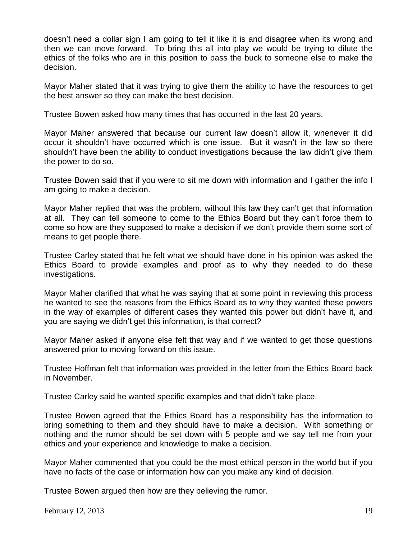doesn't need a dollar sign I am going to tell it like it is and disagree when its wrong and then we can move forward. To bring this all into play we would be trying to dilute the ethics of the folks who are in this position to pass the buck to someone else to make the decision.

Mayor Maher stated that it was trying to give them the ability to have the resources to get the best answer so they can make the best decision.

Trustee Bowen asked how many times that has occurred in the last 20 years.

Mayor Maher answered that because our current law doesn't allow it, whenever it did occur it shouldn't have occurred which is one issue. But it wasn't in the law so there shouldn't have been the ability to conduct investigations because the law didn't give them the power to do so.

Trustee Bowen said that if you were to sit me down with information and I gather the info I am going to make a decision.

Mayor Maher replied that was the problem, without this law they can't get that information at all. They can tell someone to come to the Ethics Board but they can't force them to come so how are they supposed to make a decision if we don't provide them some sort of means to get people there.

Trustee Carley stated that he felt what we should have done in his opinion was asked the Ethics Board to provide examples and proof as to why they needed to do these investigations.

Mayor Maher clarified that what he was saying that at some point in reviewing this process he wanted to see the reasons from the Ethics Board as to why they wanted these powers in the way of examples of different cases they wanted this power but didn't have it, and you are saying we didn't get this information, is that correct?

Mayor Maher asked if anyone else felt that way and if we wanted to get those questions answered prior to moving forward on this issue.

Trustee Hoffman felt that information was provided in the letter from the Ethics Board back in November.

Trustee Carley said he wanted specific examples and that didn't take place.

Trustee Bowen agreed that the Ethics Board has a responsibility has the information to bring something to them and they should have to make a decision. With something or nothing and the rumor should be set down with 5 people and we say tell me from your ethics and your experience and knowledge to make a decision.

Mayor Maher commented that you could be the most ethical person in the world but if you have no facts of the case or information how can you make any kind of decision.

Trustee Bowen argued then how are they believing the rumor.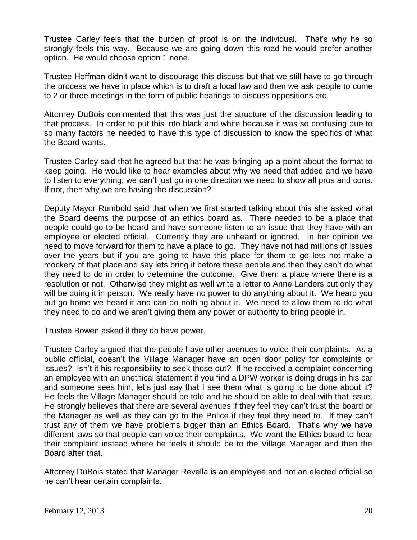Trustee Carley feels that the burden of proof is on the individual. That's why he so strongly feels this way. Because we are going down this road he would prefer another option. He would choose option 1 none.

Trustee Hoffman didn't want to discourage this discuss but that we still have to go through the process we have in place which is to draft a local law and then we ask people to come to 2 or three meetings in the form of public hearings to discuss oppositions etc.

Attorney DuBois commented that this was just the structure of the discussion leading to that process. In order to put this into black and white because it was so confusing due to so many factors he needed to have this type of discussion to know the specifics of what the Board wants.

Trustee Carley said that he agreed but that he was bringing up a point about the format to keep going. He would like to hear examples about why we need that added and we have to listen to everything, we can't just go in one direction we need to show all pros and cons. If not, then why we are having the discussion?

Deputy Mayor Rumbold said that when we first started talking about this she asked what the Board deems the purpose of an ethics board as. There needed to be a place that people could go to be heard and have someone listen to an issue that they have with an employee or elected official. Currently they are unheard or ignored. In her opinion we need to move forward for them to have a place to go. They have not had millions of issues over the years but if you are going to have this place for them to go lets not make a mockery of that place and say lets bring it before these people and then they can't do what they need to do in order to determine the outcome. Give them a place where there is a resolution or not. Otherwise they might as well write a letter to Anne Landers but only they will be doing it in person. We really have no power to do anything about it. We heard you but go home we heard it and can do nothing about it. We need to allow them to do what they need to do and we aren't giving them any power or authority to bring people in.

Trustee Bowen asked if they do have power.

Trustee Carley argued that the people have other avenues to voice their complaints. As a public official, doesn't the Village Manager have an open door policy for complaints or issues? Isn't it his responsibility to seek those out? If he received a complaint concerning an employee with an unethical statement if you find a DPW worker is doing drugs in his car and someone sees him, let's just say that I see them what is going to be done about it? He feels the Village Manager should be told and he should be able to deal with that issue. He strongly believes that there are several avenues if they feel they can't trust the board or the Manager as well as they can go to the Police if they feel they need to. If they can't trust any of them we have problems bigger than an Ethics Board. That's why we have different laws so that people can voice their complaints. We want the Ethics board to hear their complaint instead where he feels it should be to the Village Manager and then the Board after that.

Attorney DuBois stated that Manager Revella is an employee and not an elected official so he can't hear certain complaints.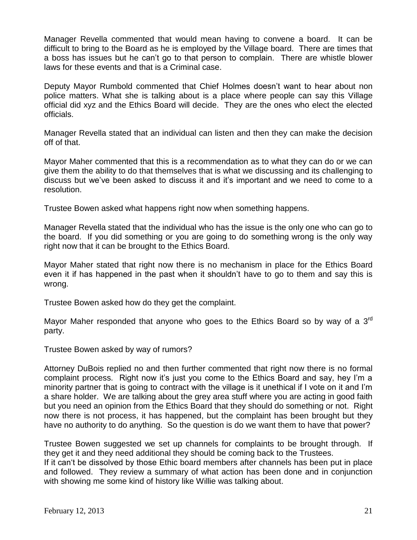Manager Revella commented that would mean having to convene a board. It can be difficult to bring to the Board as he is employed by the Village board. There are times that a boss has issues but he can't go to that person to complain. There are whistle blower laws for these events and that is a Criminal case.

Deputy Mayor Rumbold commented that Chief Holmes doesn't want to hear about non police matters. What she is talking about is a place where people can say this Village official did xyz and the Ethics Board will decide. They are the ones who elect the elected officials.

Manager Revella stated that an individual can listen and then they can make the decision off of that.

Mayor Maher commented that this is a recommendation as to what they can do or we can give them the ability to do that themselves that is what we discussing and its challenging to discuss but we've been asked to discuss it and it's important and we need to come to a resolution.

Trustee Bowen asked what happens right now when something happens.

Manager Revella stated that the individual who has the issue is the only one who can go to the board. If you did something or you are going to do something wrong is the only way right now that it can be brought to the Ethics Board.

Mayor Maher stated that right now there is no mechanism in place for the Ethics Board even it if has happened in the past when it shouldn't have to go to them and say this is wrong.

Trustee Bowen asked how do they get the complaint.

Mayor Maher responded that anyone who goes to the Ethics Board so by way of a  $3^{rd}$ party.

Trustee Bowen asked by way of rumors?

Attorney DuBois replied no and then further commented that right now there is no formal complaint process. Right now it's just you come to the Ethics Board and say, hey I'm a minority partner that is going to contract with the village is it unethical if I vote on it and I'm a share holder. We are talking about the grey area stuff where you are acting in good faith but you need an opinion from the Ethics Board that they should do something or not. Right now there is not process, it has happened, but the complaint has been brought but they have no authority to do anything. So the question is do we want them to have that power?

Trustee Bowen suggested we set up channels for complaints to be brought through. If they get it and they need additional they should be coming back to the Trustees.

If it can't be dissolved by those Ethic board members after channels has been put in place and followed. They review a summary of what action has been done and in conjunction with showing me some kind of history like Willie was talking about.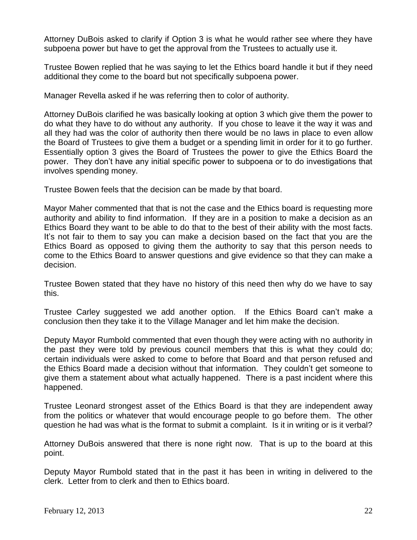Attorney DuBois asked to clarify if Option 3 is what he would rather see where they have subpoena power but have to get the approval from the Trustees to actually use it.

Trustee Bowen replied that he was saying to let the Ethics board handle it but if they need additional they come to the board but not specifically subpoena power.

Manager Revella asked if he was referring then to color of authority.

Attorney DuBois clarified he was basically looking at option 3 which give them the power to do what they have to do without any authority. If you chose to leave it the way it was and all they had was the color of authority then there would be no laws in place to even allow the Board of Trustees to give them a budget or a spending limit in order for it to go further. Essentially option 3 gives the Board of Trustees the power to give the Ethics Board the power. They don't have any initial specific power to subpoena or to do investigations that involves spending money.

Trustee Bowen feels that the decision can be made by that board.

Mayor Maher commented that that is not the case and the Ethics board is requesting more authority and ability to find information. If they are in a position to make a decision as an Ethics Board they want to be able to do that to the best of their ability with the most facts. It's not fair to them to say you can make a decision based on the fact that you are the Ethics Board as opposed to giving them the authority to say that this person needs to come to the Ethics Board to answer questions and give evidence so that they can make a decision.

Trustee Bowen stated that they have no history of this need then why do we have to say this.

Trustee Carley suggested we add another option. If the Ethics Board can't make a conclusion then they take it to the Village Manager and let him make the decision.

Deputy Mayor Rumbold commented that even though they were acting with no authority in the past they were told by previous council members that this is what they could do; certain individuals were asked to come to before that Board and that person refused and the Ethics Board made a decision without that information. They couldn't get someone to give them a statement about what actually happened. There is a past incident where this happened.

Trustee Leonard strongest asset of the Ethics Board is that they are independent away from the politics or whatever that would encourage people to go before them. The other question he had was what is the format to submit a complaint. Is it in writing or is it verbal?

Attorney DuBois answered that there is none right now. That is up to the board at this point.

Deputy Mayor Rumbold stated that in the past it has been in writing in delivered to the clerk. Letter from to clerk and then to Ethics board.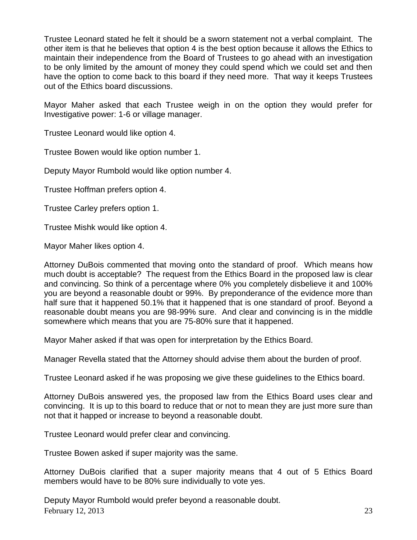Trustee Leonard stated he felt it should be a sworn statement not a verbal complaint. The other item is that he believes that option 4 is the best option because it allows the Ethics to maintain their independence from the Board of Trustees to go ahead with an investigation to be only limited by the amount of money they could spend which we could set and then have the option to come back to this board if they need more. That way it keeps Trustees out of the Ethics board discussions.

Mayor Maher asked that each Trustee weigh in on the option they would prefer for Investigative power: 1-6 or village manager.

Trustee Leonard would like option 4.

Trustee Bowen would like option number 1.

Deputy Mayor Rumbold would like option number 4.

Trustee Hoffman prefers option 4.

Trustee Carley prefers option 1.

Trustee Mishk would like option 4.

Mayor Maher likes option 4.

Attorney DuBois commented that moving onto the standard of proof. Which means how much doubt is acceptable? The request from the Ethics Board in the proposed law is clear and convincing. So think of a percentage where 0% you completely disbelieve it and 100% you are beyond a reasonable doubt or 99%. By preponderance of the evidence more than half sure that it happened 50.1% that it happened that is one standard of proof. Beyond a reasonable doubt means you are 98-99% sure. And clear and convincing is in the middle somewhere which means that you are 75-80% sure that it happened.

Mayor Maher asked if that was open for interpretation by the Ethics Board.

Manager Revella stated that the Attorney should advise them about the burden of proof.

Trustee Leonard asked if he was proposing we give these guidelines to the Ethics board.

Attorney DuBois answered yes, the proposed law from the Ethics Board uses clear and convincing. It is up to this board to reduce that or not to mean they are just more sure than not that it happed or increase to beyond a reasonable doubt.

Trustee Leonard would prefer clear and convincing.

Trustee Bowen asked if super majority was the same.

Attorney DuBois clarified that a super majority means that 4 out of 5 Ethics Board members would have to be 80% sure individually to vote yes.

February 12, 2013  $\qquad$  23 Deputy Mayor Rumbold would prefer beyond a reasonable doubt.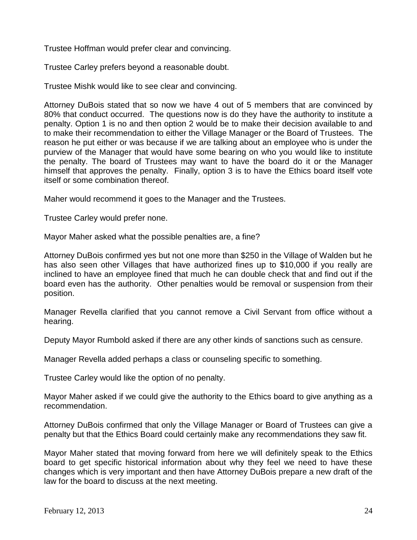Trustee Hoffman would prefer clear and convincing.

Trustee Carley prefers beyond a reasonable doubt.

Trustee Mishk would like to see clear and convincing.

Attorney DuBois stated that so now we have 4 out of 5 members that are convinced by 80% that conduct occurred. The questions now is do they have the authority to institute a penalty. Option 1 is no and then option 2 would be to make their decision available to and to make their recommendation to either the Village Manager or the Board of Trustees. The reason he put either or was because if we are talking about an employee who is under the purview of the Manager that would have some bearing on who you would like to institute the penalty. The board of Trustees may want to have the board do it or the Manager himself that approves the penalty. Finally, option 3 is to have the Ethics board itself vote itself or some combination thereof.

Maher would recommend it goes to the Manager and the Trustees.

Trustee Carley would prefer none.

Mayor Maher asked what the possible penalties are, a fine?

Attorney DuBois confirmed yes but not one more than \$250 in the Village of Walden but he has also seen other Villages that have authorized fines up to \$10,000 if you really are inclined to have an employee fined that much he can double check that and find out if the board even has the authority. Other penalties would be removal or suspension from their position.

Manager Revella clarified that you cannot remove a Civil Servant from office without a hearing.

Deputy Mayor Rumbold asked if there are any other kinds of sanctions such as censure.

Manager Revella added perhaps a class or counseling specific to something.

Trustee Carley would like the option of no penalty.

Mayor Maher asked if we could give the authority to the Ethics board to give anything as a recommendation.

Attorney DuBois confirmed that only the Village Manager or Board of Trustees can give a penalty but that the Ethics Board could certainly make any recommendations they saw fit.

Mayor Maher stated that moving forward from here we will definitely speak to the Ethics board to get specific historical information about why they feel we need to have these changes which is very important and then have Attorney DuBois prepare a new draft of the law for the board to discuss at the next meeting.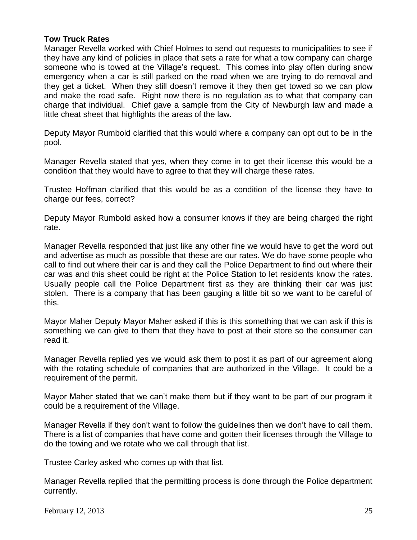### **Tow Truck Rates**

Manager Revella worked with Chief Holmes to send out requests to municipalities to see if they have any kind of policies in place that sets a rate for what a tow company can charge someone who is towed at the Village's request. This comes into play often during snow emergency when a car is still parked on the road when we are trying to do removal and they get a ticket. When they still doesn't remove it they then get towed so we can plow and make the road safe. Right now there is no regulation as to what that company can charge that individual. Chief gave a sample from the City of Newburgh law and made a little cheat sheet that highlights the areas of the law.

Deputy Mayor Rumbold clarified that this would where a company can opt out to be in the pool.

Manager Revella stated that yes, when they come in to get their license this would be a condition that they would have to agree to that they will charge these rates.

Trustee Hoffman clarified that this would be as a condition of the license they have to charge our fees, correct?

Deputy Mayor Rumbold asked how a consumer knows if they are being charged the right rate.

Manager Revella responded that just like any other fine we would have to get the word out and advertise as much as possible that these are our rates. We do have some people who call to find out where their car is and they call the Police Department to find out where their car was and this sheet could be right at the Police Station to let residents know the rates. Usually people call the Police Department first as they are thinking their car was just stolen. There is a company that has been gauging a little bit so we want to be careful of this.

Mayor Maher Deputy Mayor Maher asked if this is this something that we can ask if this is something we can give to them that they have to post at their store so the consumer can read it.

Manager Revella replied yes we would ask them to post it as part of our agreement along with the rotating schedule of companies that are authorized in the Village. It could be a requirement of the permit.

Mayor Maher stated that we can't make them but if they want to be part of our program it could be a requirement of the Village.

Manager Revella if they don't want to follow the guidelines then we don't have to call them. There is a list of companies that have come and gotten their licenses through the Village to do the towing and we rotate who we call through that list.

Trustee Carley asked who comes up with that list.

Manager Revella replied that the permitting process is done through the Police department currently.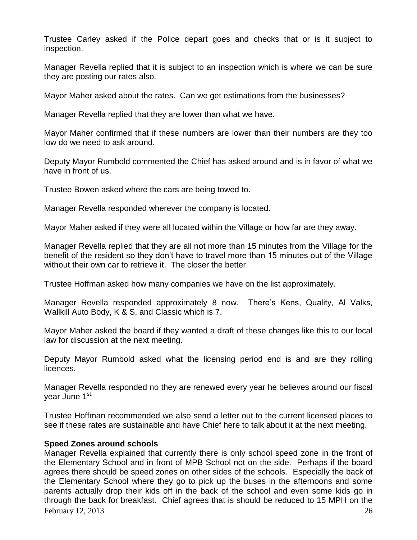Trustee Carley asked if the Police depart goes and checks that or is it subject to inspection.

Manager Revella replied that it is subject to an inspection which is where we can be sure they are posting our rates also.

Mayor Maher asked about the rates. Can we get estimations from the businesses?

Manager Revella replied that they are lower than what we have.

Mayor Maher confirmed that if these numbers are lower than their numbers are they too low do we need to ask around.

Deputy Mayor Rumbold commented the Chief has asked around and is in favor of what we have in front of us.

Trustee Bowen asked where the cars are being towed to.

Manager Revella responded wherever the company is located.

Mayor Maher asked if they were all located within the Village or how far are they away.

Manager Revella replied that they are all not more than 15 minutes from the Village for the benefit of the resident so they don't have to travel more than 15 minutes out of the Village without their own car to retrieve it. The closer the better.

Trustee Hoffman asked how many companies we have on the list approximately.

Manager Revella responded approximately 8 now. There's Kens, Quality, Al Valks, Wallkill Auto Body, K & S, and Classic which is 7.

Mayor Maher asked the board if they wanted a draft of these changes like this to our local law for discussion at the next meeting.

Deputy Mayor Rumbold asked what the licensing period end is and are they rolling licences.

Manager Revella responded no they are renewed every year he believes around our fiscal year June 1<sup>st.</sup>

Trustee Hoffman recommended we also send a letter out to the current licensed places to see if these rates are sustainable and have Chief here to talk about it at the next meeting.

# **Speed Zones around schools**

February 12, 2013  $\frac{26}{26}$ Manager Revella explained that currently there is only school speed zone in the front of the Elementary School and in front of MPB School not on the side. Perhaps if the board agrees there should be speed zones on other sides of the schools. Especially the back of the Elementary School where they go to pick up the buses in the afternoons and some parents actually drop their kids off in the back of the school and even some kids go in through the back for breakfast. Chief agrees that is should be reduced to 15 MPH on the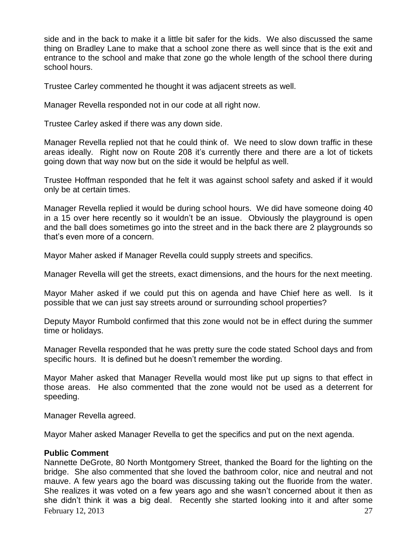side and in the back to make it a little bit safer for the kids. We also discussed the same thing on Bradley Lane to make that a school zone there as well since that is the exit and entrance to the school and make that zone go the whole length of the school there during school hours.

Trustee Carley commented he thought it was adjacent streets as well.

Manager Revella responded not in our code at all right now.

Trustee Carley asked if there was any down side.

Manager Revella replied not that he could think of. We need to slow down traffic in these areas ideally. Right now on Route 208 it's currently there and there are a lot of tickets going down that way now but on the side it would be helpful as well.

Trustee Hoffman responded that he felt it was against school safety and asked if it would only be at certain times.

Manager Revella replied it would be during school hours. We did have someone doing 40 in a 15 over here recently so it wouldn't be an issue. Obviously the playground is open and the ball does sometimes go into the street and in the back there are 2 playgrounds so that's even more of a concern.

Mayor Maher asked if Manager Revella could supply streets and specifics.

Manager Revella will get the streets, exact dimensions, and the hours for the next meeting.

Mayor Maher asked if we could put this on agenda and have Chief here as well. Is it possible that we can just say streets around or surrounding school properties?

Deputy Mayor Rumbold confirmed that this zone would not be in effect during the summer time or holidays.

Manager Revella responded that he was pretty sure the code stated School days and from specific hours. It is defined but he doesn't remember the wording.

Mayor Maher asked that Manager Revella would most like put up signs to that effect in those areas. He also commented that the zone would not be used as a deterrent for speeding.

Manager Revella agreed.

Mayor Maher asked Manager Revella to get the specifics and put on the next agenda.

### **Public Comment**

February 12, 2013  $\frac{27}{27}$ Nannette DeGrote, 80 North Montgomery Street, thanked the Board for the lighting on the bridge. She also commented that she loved the bathroom color, nice and neutral and not mauve. A few years ago the board was discussing taking out the fluoride from the water. She realizes it was voted on a few years ago and she wasn't concerned about it then as she didn't think it was a big deal. Recently she started looking into it and after some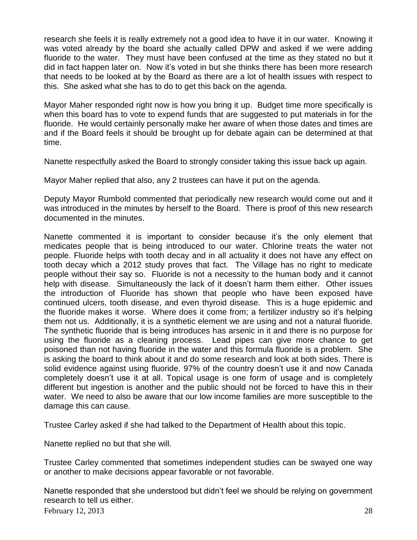research she feels it is really extremely not a good idea to have it in our water. Knowing it was voted already by the board she actually called DPW and asked if we were adding fluoride to the water. They must have been confused at the time as they stated no but it did in fact happen later on. Now it's voted in but she thinks there has been more research that needs to be looked at by the Board as there are a lot of health issues with respect to this. She asked what she has to do to get this back on the agenda.

Mayor Maher responded right now is how you bring it up. Budget time more specifically is when this board has to vote to expend funds that are suggested to put materials in for the fluoride. He would certainly personally make her aware of when those dates and times are and if the Board feels it should be brought up for debate again can be determined at that time.

Nanette respectfully asked the Board to strongly consider taking this issue back up again.

Mayor Maher replied that also, any 2 trustees can have it put on the agenda.

Deputy Mayor Rumbold commented that periodically new research would come out and it was introduced in the minutes by herself to the Board. There is proof of this new research documented in the minutes.

Nanette commented it is important to consider because it's the only element that medicates people that is being introduced to our water. Chlorine treats the water not people. Fluoride helps with tooth decay and in all actuality it does not have any effect on tooth decay which a 2012 study proves that fact. The Village has no right to medicate people without their say so. Fluoride is not a necessity to the human body and it cannot help with disease. Simultaneously the lack of it doesn't harm them either. Other issues the introduction of Fluoride has shown that people who have been exposed have continued ulcers, tooth disease, and even thyroid disease. This is a huge epidemic and the fluoride makes it worse. Where does it come from; a fertilizer industry so it's helping them not us. Additionally, it is a synthetic element we are using and not a natural fluoride. The synthetic fluoride that is being introduces has arsenic in it and there is no purpose for using the fluoride as a cleaning process. Lead pipes can give more chance to get poisoned than not having fluoride in the water and this formula fluoride is a problem. She is asking the board to think about it and do some research and look at both sides. There is solid evidence against using fluoride. 97% of the country doesn't use it and now Canada completely doesn't use it at all. Topical usage is one form of usage and is completely different but ingestion is another and the public should not be forced to have this in their water. We need to also be aware that our low income families are more susceptible to the damage this can cause.

Trustee Carley asked if she had talked to the Department of Health about this topic.

Nanette replied no but that she will.

Trustee Carley commented that sometimes independent studies can be swayed one way or another to make decisions appear favorable or not favorable.

Nanette responded that she understood but didn't feel we should be relying on government research to tell us either.

February 12, 2013 28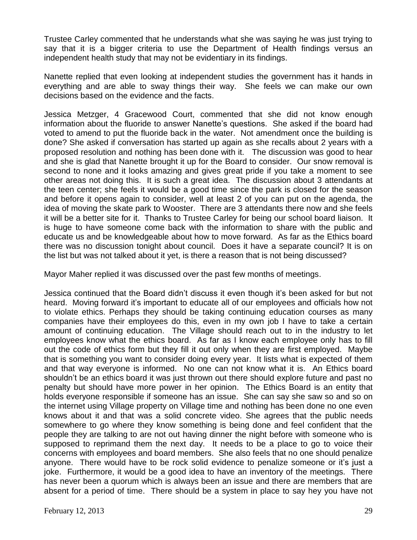Trustee Carley commented that he understands what she was saying he was just trying to say that it is a bigger criteria to use the Department of Health findings versus an independent health study that may not be evidentiary in its findings.

Nanette replied that even looking at independent studies the government has it hands in everything and are able to sway things their way. She feels we can make our own decisions based on the evidence and the facts.

Jessica Metzger, 4 Gracewood Court, commented that she did not know enough information about the fluoride to answer Nanette's questions. She asked if the board had voted to amend to put the fluoride back in the water. Not amendment once the building is done? She asked if conversation has started up again as she recalls about 2 years with a proposed resolution and nothing has been done with it. The discussion was good to hear and she is glad that Nanette brought it up for the Board to consider. Our snow removal is second to none and it looks amazing and gives great pride if you take a moment to see other areas not doing this. It is such a great idea. The discussion about 3 attendants at the teen center; she feels it would be a good time since the park is closed for the season and before it opens again to consider, well at least 2 of you can put on the agenda, the idea of moving the skate park to Wooster. There are 3 attendants there now and she feels it will be a better site for it. Thanks to Trustee Carley for being our school board liaison. It is huge to have someone come back with the information to share with the public and educate us and be knowledgeable about how to move forward. As far as the Ethics board there was no discussion tonight about council. Does it have a separate council? It is on the list but was not talked about it yet, is there a reason that is not being discussed?

Mayor Maher replied it was discussed over the past few months of meetings.

Jessica continued that the Board didn't discuss it even though it's been asked for but not heard. Moving forward it's important to educate all of our employees and officials how not to violate ethics. Perhaps they should be taking continuing education courses as many companies have their employees do this, even in my own job I have to take a certain amount of continuing education. The Village should reach out to in the industry to let employees know what the ethics board. As far as I know each employee only has to fill out the code of ethics form but they fill it out only when they are first employed. Maybe that is something you want to consider doing every year. It lists what is expected of them and that way everyone is informed. No one can not know what it is. An Ethics board shouldn't be an ethics board it was just thrown out there should explore future and past no penalty but should have more power in her opinion. The Ethics Board is an entity that holds everyone responsible if someone has an issue. She can say she saw so and so on the internet using Village property on Village time and nothing has been done no one even knows about it and that was a solid concrete video. She agrees that the public needs somewhere to go where they know something is being done and feel confident that the people they are talking to are not out having dinner the night before with someone who is supposed to reprimand them the next day. It needs to be a place to go to voice their concerns with employees and board members. She also feels that no one should penalize anyone. There would have to be rock solid evidence to penalize someone or it's just a joke. Furthermore, it would be a good idea to have an inventory of the meetings. There has never been a quorum which is always been an issue and there are members that are absent for a period of time. There should be a system in place to say hey you have not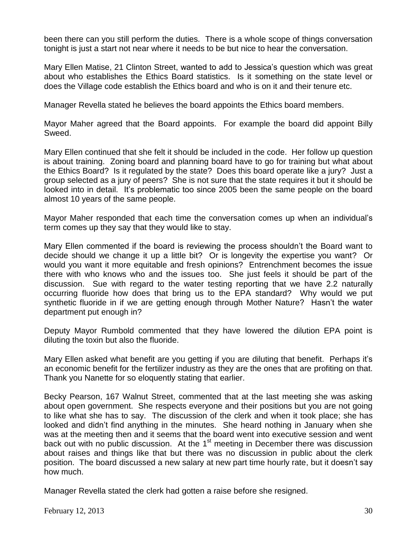been there can you still perform the duties. There is a whole scope of things conversation tonight is just a start not near where it needs to be but nice to hear the conversation.

Mary Ellen Matise, 21 Clinton Street, wanted to add to Jessica's question which was great about who establishes the Ethics Board statistics. Is it something on the state level or does the Village code establish the Ethics board and who is on it and their tenure etc.

Manager Revella stated he believes the board appoints the Ethics board members.

Mayor Maher agreed that the Board appoints. For example the board did appoint Billy Sweed.

Mary Ellen continued that she felt it should be included in the code. Her follow up question is about training. Zoning board and planning board have to go for training but what about the Ethics Board? Is it regulated by the state? Does this board operate like a jury? Just a group selected as a jury of peers? She is not sure that the state requires it but it should be looked into in detail. It's problematic too since 2005 been the same people on the board almost 10 years of the same people.

Mayor Maher responded that each time the conversation comes up when an individual's term comes up they say that they would like to stay.

Mary Ellen commented if the board is reviewing the process shouldn't the Board want to decide should we change it up a little bit? Or is longevity the expertise you want? Or would you want it more equitable and fresh opinions? Entrenchment becomes the issue there with who knows who and the issues too. She just feels it should be part of the discussion. Sue with regard to the water testing reporting that we have 2.2 naturally occurring fluoride how does that bring us to the EPA standard? Why would we put synthetic fluoride in if we are getting enough through Mother Nature? Hasn't the water department put enough in?

Deputy Mayor Rumbold commented that they have lowered the dilution EPA point is diluting the toxin but also the fluoride.

Mary Ellen asked what benefit are you getting if you are diluting that benefit. Perhaps it's an economic benefit for the fertilizer industry as they are the ones that are profiting on that. Thank you Nanette for so eloquently stating that earlier.

Becky Pearson, 167 Walnut Street, commented that at the last meeting she was asking about open government. She respects everyone and their positions but you are not going to like what she has to say. The discussion of the clerk and when it took place; she has looked and didn't find anything in the minutes. She heard nothing in January when she was at the meeting then and it seems that the board went into executive session and went back out with no public discussion. At the 1<sup>st</sup> meeting in December there was discussion about raises and things like that but there was no discussion in public about the clerk position. The board discussed a new salary at new part time hourly rate, but it doesn't say how much.

Manager Revella stated the clerk had gotten a raise before she resigned.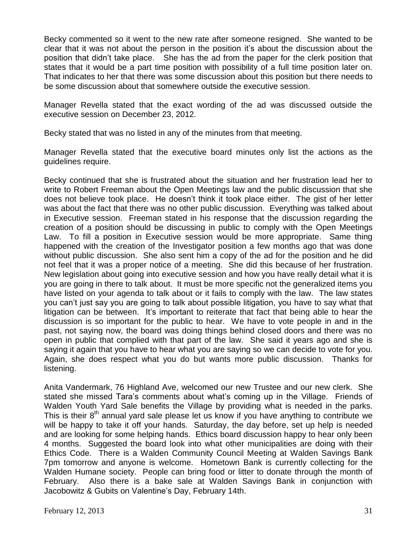Becky commented so it went to the new rate after someone resigned. She wanted to be clear that it was not about the person in the position it's about the discussion about the position that didn't take place. She has the ad from the paper for the clerk position that states that it would be a part time position with possibility of a full time position later on. That indicates to her that there was some discussion about this position but there needs to be some discussion about that somewhere outside the executive session.

Manager Revella stated that the exact wording of the ad was discussed outside the executive session on December 23, 2012.

Becky stated that was no listed in any of the minutes from that meeting.

Manager Revella stated that the executive board minutes only list the actions as the guidelines require.

Becky continued that she is frustrated about the situation and her frustration lead her to write to Robert Freeman about the Open Meetings law and the public discussion that she does not believe took place. He doesn't think it took place either. The gist of her letter was about the fact that there was no other public discussion. Everything was talked about in Executive session. Freeman stated in his response that the discussion regarding the creation of a position should be discussing in public to comply with the Open Meetings Law. To fill a position in Executive session would be more appropriate. Same thing happened with the creation of the Investigator position a few months ago that was done without public discussion. She also sent him a copy of the ad for the position and he did not feel that it was a proper notice of a meeting. She did this because of her frustration. New legislation about going into executive session and how you have really detail what it is you are going in there to talk about. It must be more specific not the generalized items you have listed on your agenda to talk about or it fails to comply with the law. The law states you can't just say you are going to talk about possible litigation, you have to say what that litigation can be between. It's important to reiterate that fact that being able to hear the discussion is so important for the public to hear. We have to vote people in and in the past, not saying now, the board was doing things behind closed doors and there was no open in public that complied with that part of the law. She said it years ago and she is saying it again that you have to hear what you are saying so we can decide to vote for you. Again, she does respect what you do but wants more public discussion. Thanks for listening.

Anita Vandermark, 76 Highland Ave, welcomed our new Trustee and our new clerk. She stated she missed Tara's comments about what's coming up in the Village. Friends of Walden Youth Yard Sale benefits the Village by providing what is needed in the parks. This is their  $8<sup>th</sup>$  annual yard sale please let us know if you have anything to contribute we will be happy to take it off your hands. Saturday, the day before, set up help is needed and are looking for some helping hands. Ethics board discussion happy to hear only been 4 months. Suggested the board look into what other municipalities are doing with their Ethics Code. There is a Walden Community Council Meeting at Walden Savings Bank 7pm tomorrow and anyone is welcome. Hometown Bank is currently collecting for the Walden Humane society. People can bring food or litter to donate through the month of February. Also there is a bake sale at Walden Savings Bank in conjunction with Jacobowitz & Gubits on Valentine's Day, February 14th.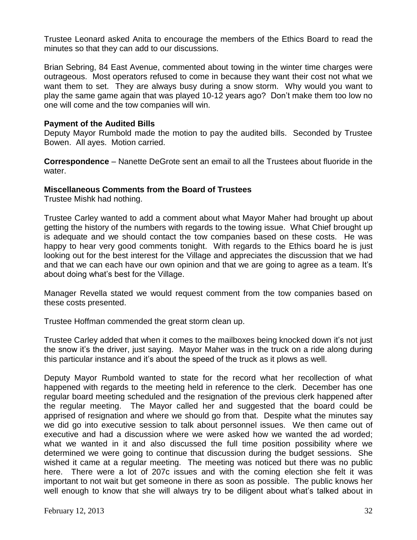Trustee Leonard asked Anita to encourage the members of the Ethics Board to read the minutes so that they can add to our discussions.

Brian Sebring, 84 East Avenue, commented about towing in the winter time charges were outrageous. Most operators refused to come in because they want their cost not what we want them to set. They are always busy during a snow storm. Why would you want to play the same game again that was played 10-12 years ago? Don't make them too low no one will come and the tow companies will win.

## **Payment of the Audited Bills**

Deputy Mayor Rumbold made the motion to pay the audited bills. Seconded by Trustee Bowen. All ayes. Motion carried.

**Correspondence** – Nanette DeGrote sent an email to all the Trustees about fluoride in the water.

# **Miscellaneous Comments from the Board of Trustees**

Trustee Mishk had nothing.

Trustee Carley wanted to add a comment about what Mayor Maher had brought up about getting the history of the numbers with regards to the towing issue. What Chief brought up is adequate and we should contact the tow companies based on these costs. He was happy to hear very good comments tonight. With regards to the Ethics board he is just looking out for the best interest for the Village and appreciates the discussion that we had and that we can each have our own opinion and that we are going to agree as a team. It's about doing what's best for the Village.

Manager Revella stated we would request comment from the tow companies based on these costs presented.

Trustee Hoffman commended the great storm clean up.

Trustee Carley added that when it comes to the mailboxes being knocked down it's not just the snow it's the driver, just saying. Mayor Maher was in the truck on a ride along during this particular instance and it's about the speed of the truck as it plows as well.

Deputy Mayor Rumbold wanted to state for the record what her recollection of what happened with regards to the meeting held in reference to the clerk. December has one regular board meeting scheduled and the resignation of the previous clerk happened after the regular meeting. The Mayor called her and suggested that the board could be apprised of resignation and where we should go from that. Despite what the minutes say we did go into executive session to talk about personnel issues. We then came out of executive and had a discussion where we were asked how we wanted the ad worded; what we wanted in it and also discussed the full time position possibility where we determined we were going to continue that discussion during the budget sessions. She wished it came at a regular meeting. The meeting was noticed but there was no public here. There were a lot of 207c issues and with the coming election she felt it was important to not wait but get someone in there as soon as possible. The public knows her well enough to know that she will always try to be diligent about what's talked about in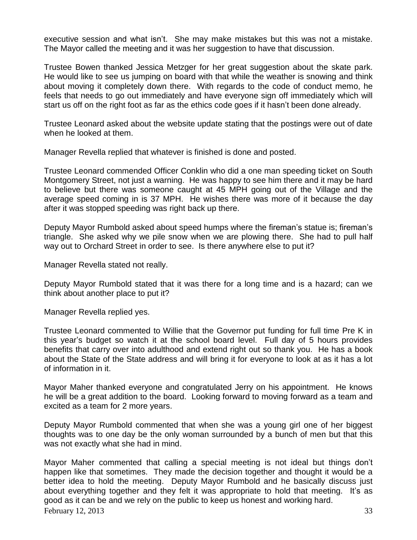executive session and what isn't. She may make mistakes but this was not a mistake. The Mayor called the meeting and it was her suggestion to have that discussion.

Trustee Bowen thanked Jessica Metzger for her great suggestion about the skate park. He would like to see us jumping on board with that while the weather is snowing and think about moving it completely down there. With regards to the code of conduct memo, he feels that needs to go out immediately and have everyone sign off immediately which will start us off on the right foot as far as the ethics code goes if it hasn't been done already.

Trustee Leonard asked about the website update stating that the postings were out of date when he looked at them.

Manager Revella replied that whatever is finished is done and posted.

Trustee Leonard commended Officer Conklin who did a one man speeding ticket on South Montgomery Street, not just a warning. He was happy to see him there and it may be hard to believe but there was someone caught at 45 MPH going out of the Village and the average speed coming in is 37 MPH. He wishes there was more of it because the day after it was stopped speeding was right back up there.

Deputy Mayor Rumbold asked about speed humps where the fireman's statue is; fireman's triangle. She asked why we pile snow when we are plowing there. She had to pull half way out to Orchard Street in order to see. Is there anywhere else to put it?

Manager Revella stated not really.

Deputy Mayor Rumbold stated that it was there for a long time and is a hazard; can we think about another place to put it?

Manager Revella replied yes.

Trustee Leonard commented to Willie that the Governor put funding for full time Pre K in this year's budget so watch it at the school board level. Full day of 5 hours provides benefits that carry over into adulthood and extend right out so thank you. He has a book about the State of the State address and will bring it for everyone to look at as it has a lot of information in it.

Mayor Maher thanked everyone and congratulated Jerry on his appointment. He knows he will be a great addition to the board. Looking forward to moving forward as a team and excited as a team for 2 more years.

Deputy Mayor Rumbold commented that when she was a young girl one of her biggest thoughts was to one day be the only woman surrounded by a bunch of men but that this was not exactly what she had in mind.

February 12, 2013  $\frac{33}{3}$ Mayor Maher commented that calling a special meeting is not ideal but things don't happen like that sometimes. They made the decision together and thought it would be a better idea to hold the meeting. Deputy Mayor Rumbold and he basically discuss just about everything together and they felt it was appropriate to hold that meeting. It's as good as it can be and we rely on the public to keep us honest and working hard.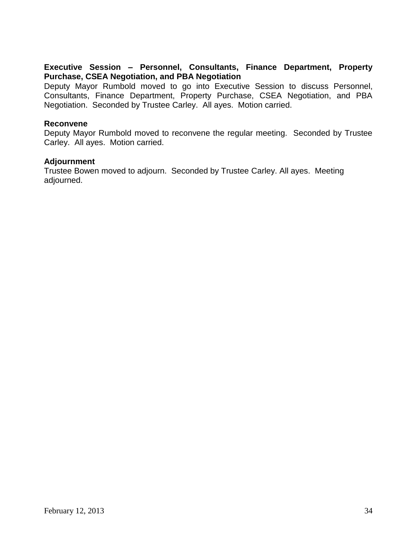# **Executive Session – Personnel, Consultants, Finance Department, Property Purchase, CSEA Negotiation, and PBA Negotiation**

Deputy Mayor Rumbold moved to go into Executive Session to discuss Personnel, Consultants, Finance Department, Property Purchase, CSEA Negotiation, and PBA Negotiation. Seconded by Trustee Carley. All ayes. Motion carried.

## **Reconvene**

Deputy Mayor Rumbold moved to reconvene the regular meeting. Seconded by Trustee Carley. All ayes. Motion carried.

### **Adjournment**

Trustee Bowen moved to adjourn. Seconded by Trustee Carley. All ayes. Meeting adjourned.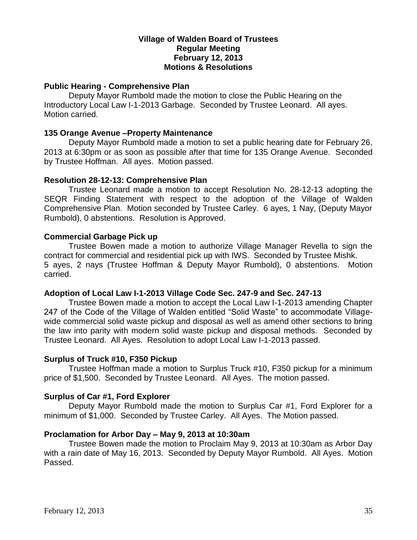## **Village of Walden Board of Trustees Regular Meeting February 12, 2013 Motions & Resolutions**

## **Public Hearing - Comprehensive Plan**

Deputy Mayor Rumbold made the motion to close the Public Hearing on the Introductory Local Law I-1-2013 Garbage. Seconded by Trustee Leonard. All ayes. Motion carried.

### **135 Orange Avenue –Property Maintenance**

Deputy Mayor Rumbold made a motion to set a public hearing date for February 26, 2013 at 6:30pm or as soon as possible after that time for 135 Orange Avenue. Seconded by Trustee Hoffman. All ayes. Motion passed.

#### **Resolution 28-12-13: Comprehensive Plan**

Trustee Leonard made a motion to accept Resolution No. 28-12-13 adopting the SEQR Finding Statement with respect to the adoption of the Village of Walden Comprehensive Plan. Motion seconded by Trustee Carley. 6 ayes, 1 Nay, (Deputy Mayor Rumbold), 0 abstentions. Resolution is Approved.

#### **Commercial Garbage Pick up**

Trustee Bowen made a motion to authorize Village Manager Revella to sign the contract for commercial and residential pick up with IWS. Seconded by Trustee Mishk. 5 ayes, 2 nays (Trustee Hoffman & Deputy Mayor Rumbold), 0 abstentions. Motion carried.

#### **Adoption of Local Law I-1-2013 Village Code Sec. 247-9 and Sec. 247-13**

Trustee Bowen made a motion to accept the Local Law I-1-2013 amending Chapter 247 of the Code of the Village of Walden entitled "Solid Waste" to accommodate Villagewide commercial solid waste pickup and disposal as well as amend other sections to bring the law into parity with modern solid waste pickup and disposal methods. Seconded by Trustee Leonard. All Ayes. Resolution to adopt Local Law I-1-2013 passed.

#### **Surplus of Truck #10, F350 Pickup**

Trustee Hoffman made a motion to Surplus Truck #10, F350 pickup for a minimum price of \$1,500. Seconded by Trustee Leonard. All Ayes. The motion passed.

### **Surplus of Car #1, Ford Explorer**

Deputy Mayor Rumbold made the motion to Surplus Car #1, Ford Explorer for a minimum of \$1,000. Seconded by Trustee Carley. All Ayes. The Motion passed.

#### **Proclamation for Arbor Day – May 9, 2013 at 10:30am**

Trustee Bowen made the motion to Proclaim May 9, 2013 at 10:30am as Arbor Day with a rain date of May 16, 2013. Seconded by Deputy Mayor Rumbold. All Ayes. Motion Passed.